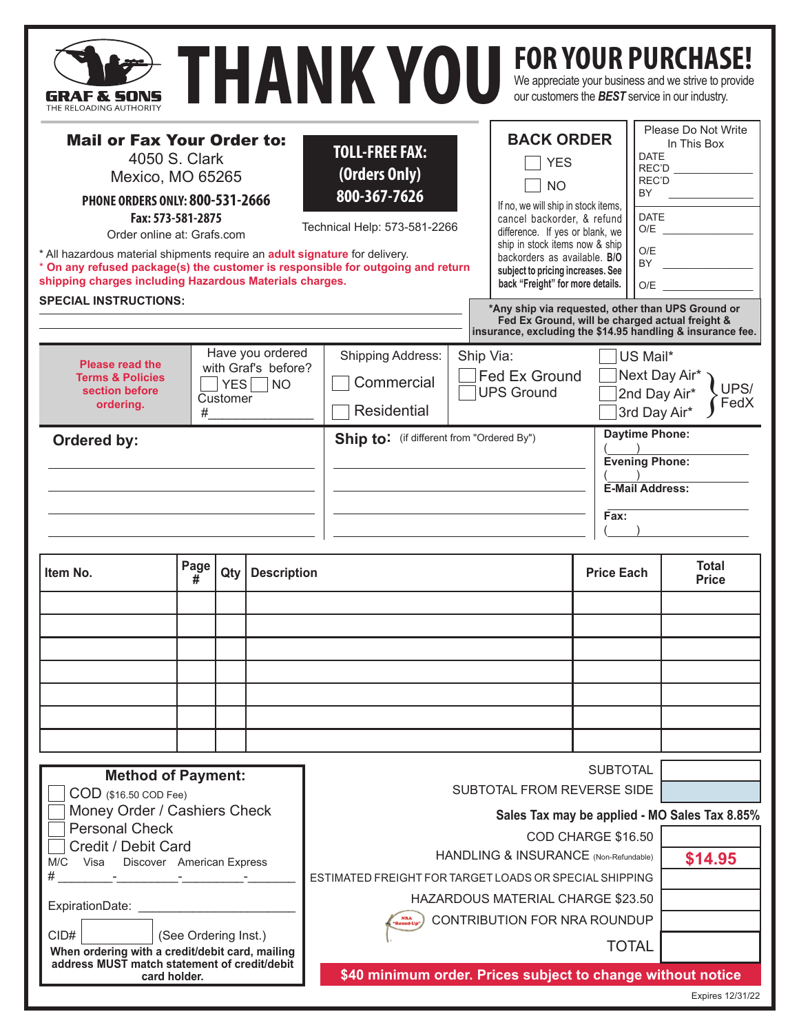| GRAF X SONS<br>THE RELOADING AUTHORITY                                                                                                                                                                                                                                                                                                               |           |          |                                                                     |                                                                                                                                                                           | THANK YOU                                                                                                                                                                                                                                                   |                                               |                                                                                                                                                                                                                                                                                                 |                   |                                                                                                                                                                                                                                                                                           | <b>FOR YOUR PURCHASE!</b><br>We appreciate your business and we strive to provide<br>our customers the <b>BEST</b> service in our industry. |  |  |
|------------------------------------------------------------------------------------------------------------------------------------------------------------------------------------------------------------------------------------------------------------------------------------------------------------------------------------------------------|-----------|----------|---------------------------------------------------------------------|---------------------------------------------------------------------------------------------------------------------------------------------------------------------------|-------------------------------------------------------------------------------------------------------------------------------------------------------------------------------------------------------------------------------------------------------------|-----------------------------------------------|-------------------------------------------------------------------------------------------------------------------------------------------------------------------------------------------------------------------------------------------------------------------------------------------------|-------------------|-------------------------------------------------------------------------------------------------------------------------------------------------------------------------------------------------------------------------------------------------------------------------------------------|---------------------------------------------------------------------------------------------------------------------------------------------|--|--|
| <b>Mail or Fax Your Order to:</b><br>4050 S. Clark<br>Mexico, MO 65265<br><b>PHONE ORDERS ONLY: 800-531-2666</b><br>Fax: 573-581-2875<br>Order online at: Grafs.com<br>* All hazardous material shipments require an <b>adult signature</b> for delivery.<br>shipping charges including Hazardous Materials charges.<br><b>SPECIAL INSTRUCTIONS:</b> |           |          |                                                                     | <b>TOLL-FREE FAX:</b><br>(Orders Only)<br>800-367-7626<br>Technical Help: 573-581-2266<br>* On any refused package(s) the customer is responsible for outgoing and return |                                                                                                                                                                                                                                                             |                                               | <b>BACK ORDER</b><br><b>YES</b><br><b>NO</b><br>If no, we will ship in stock items,<br>cancel backorder, & refund<br>difference. If yes or blank, we<br>ship in stock items now & ship<br>backorders as available. B/O<br>subject to pricing increases. See<br>back "Freight" for more details. |                   | Please Do Not Write<br>In This Box<br><b>DATE</b><br>REC'D<br>REC'D<br>BY<br><b>DATE</b><br>O/E<br><b>BY</b><br>O/E<br>*Any ship via requested, other than UPS Ground or<br>Fed Ex Ground, will be charged actual freight &<br>insurance, excluding the \$14.95 handling & insurance fee. |                                                                                                                                             |  |  |
| <b>Please read the</b><br><b>Terms &amp; Policies</b><br>section before<br>ordering.                                                                                                                                                                                                                                                                 | #         | Customer | Have you ordered<br>with Graf's before?<br>$YES \nightharpoonup NO$ | <b>Shipping Address:</b><br>Ship Via:<br><b>Fed Ex Ground</b><br>Commercial<br><b>UPS Ground</b><br>Residential                                                           |                                                                                                                                                                                                                                                             |                                               |                                                                                                                                                                                                                                                                                                 |                   |                                                                                                                                                                                                                                                                                           | US Mail*<br>Next Day Air*<br>UPS/<br>2nd Day Air*<br>FedX<br>3rd Day Air*                                                                   |  |  |
| Ordered by:                                                                                                                                                                                                                                                                                                                                          |           |          |                                                                     |                                                                                                                                                                           | <b>Daytime Phone:</b><br>Ship to: (if different from "Ordered By")<br><b>Evening Phone:</b><br><b>E-Mail Address:</b><br>Fax:                                                                                                                               |                                               |                                                                                                                                                                                                                                                                                                 |                   |                                                                                                                                                                                                                                                                                           |                                                                                                                                             |  |  |
| Item No.                                                                                                                                                                                                                                                                                                                                             | Page<br># | Qty      | <b>Description</b>                                                  |                                                                                                                                                                           |                                                                                                                                                                                                                                                             |                                               |                                                                                                                                                                                                                                                                                                 | <b>Price Each</b> |                                                                                                                                                                                                                                                                                           | <b>Total</b><br><b>Price</b>                                                                                                                |  |  |
|                                                                                                                                                                                                                                                                                                                                                      |           |          |                                                                     |                                                                                                                                                                           |                                                                                                                                                                                                                                                             |                                               |                                                                                                                                                                                                                                                                                                 |                   |                                                                                                                                                                                                                                                                                           |                                                                                                                                             |  |  |
| <b>Method of Payment:</b><br>COD (\$16.50 COD Fee)                                                                                                                                                                                                                                                                                                   |           |          |                                                                     |                                                                                                                                                                           |                                                                                                                                                                                                                                                             | <b>SUBTOTAL</b><br>SUBTOTAL FROM REVERSE SIDE |                                                                                                                                                                                                                                                                                                 |                   |                                                                                                                                                                                                                                                                                           |                                                                                                                                             |  |  |
| Money Order / Cashiers Check<br><b>Personal Check</b><br>Credit / Debit Card<br>Visa Discover American Express<br>M/C<br><b>All Control And Control And</b><br>ExpirationDate:<br>CID#<br>(See Ordering Inst.)<br>When ordering with a credit/debit card, mailing                                                                                    |           |          |                                                                     |                                                                                                                                                                           | Sales Tax may be applied - MO Sales Tax 8.85%<br>COD CHARGE \$16.50<br>HANDLING & INSURANCE (Non-Refundable)<br>ESTIMATED FREIGHT FOR TARGET LOADS OR SPECIAL SHIPPING<br>HAZARDOUS MATERIAL CHARGE \$23.50<br>CONTRIBUTION FOR NRA ROUNDUP<br><b>TOTAL</b> |                                               |                                                                                                                                                                                                                                                                                                 |                   |                                                                                                                                                                                                                                                                                           | \$14.95                                                                                                                                     |  |  |
| address MUST match statement of credit/debit<br>card holder.                                                                                                                                                                                                                                                                                         |           |          |                                                                     |                                                                                                                                                                           | \$40 minimum order. Prices subject to change without notice                                                                                                                                                                                                 | Expires 12/31/22                              |                                                                                                                                                                                                                                                                                                 |                   |                                                                                                                                                                                                                                                                                           |                                                                                                                                             |  |  |